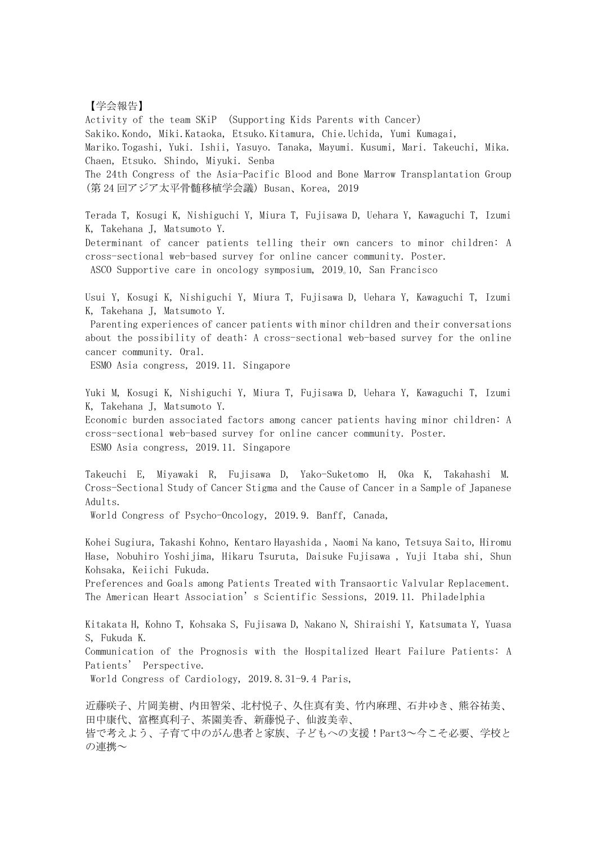## 【学会報告】

Activity of the team SKiP (Supporting Kids Parents with Cancer) Sakiko.Kondo, Miki.Kataoka, Etsuko.Kitamura, Chie.Uchida, Yumi Kumagai, Mariko.Togashi, Yuki. Ishii, Yasuyo. Tanaka, Mayumi. Kusumi, Mari. Takeuchi, Mika. Chaen, Etsuko. Shindo, Miyuki. Senba The 24th Congress of the Asia-Pacific Blood and Bone Marrow Transplantation Group (第 24 回アジア太平骨髄移植学会議) Busan、Korea, 2019 Terada T, Kosugi K, Nishiguchi Y, Miura T, Fujisawa D, Uehara Y, Kawaguchi T, Izumi

K, Takehana J, Matsumoto Y.

Determinant of cancer patients telling their own cancers to minor children: A cross-sectional web-based survey for online cancer community. Poster. ASCO Supportive care in oncology symposium, 2019。10, San Francisco

Usui Y, Kosugi K, Nishiguchi Y, Miura T, Fujisawa D, Uehara Y, Kawaguchi T, Izumi K, Takehana J, Matsumoto Y.

 Parenting experiences of cancer patients with minor children and their conversations about the possibility of death: A cross-sectional web-based survey for the online cancer community. Oral.

ESMO Asia congress, 2019.11. Singapore

Yuki M, Kosugi K, Nishiguchi Y, Miura T, Fujisawa D, Uehara Y, Kawaguchi T, Izumi K, Takehana J, Matsumoto Y.

Economic burden associated factors among cancer patients having minor children: A cross-sectional web-based survey for online cancer community. Poster. ESMO Asia congress, 2019.11. Singapore

Takeuchi E, Miyawaki R, Fujisawa D, Yako-Suketomo H, Oka K, Takahashi M. Cross-Sectional Study of Cancer Stigma and the Cause of Cancer in a Sample of Japanese Adults.

World Congress of Psycho-Oncology, 2019.9. Banff, Canada,

Kohei Sugiura, Takashi Kohno, Kentaro Hayashida , Naomi Na kano, Tetsuya Saito, Hiromu Hase, Nobuhiro Yoshijima, Hikaru Tsuruta, Daisuke Fujisawa , Yuji Itaba shi, Shun Kohsaka, Keiichi Fukuda.

Preferences and Goals among Patients Treated with Transaortic Valvular Replacement. The American Heart Association's Scientific Sessions, 2019.11. Philadelphia

Kitakata H, Kohno T, Kohsaka S, Fujisawa D, Nakano N, Shiraishi Y, Katsumata Y, Yuasa S, Fukuda K.

Communication of the Prognosis with the Hospitalized Heart Failure Patients: A Patients' Perspective.

World Congress of Cardiology, 2019.8.31-9.4 Paris,

近藤咲子、片岡美樹、内田智栄、北村悦子、久住真有美、竹内麻理、石井ゆき、熊谷祐美、 田中康代、富樫真利子、茶園美香、新藤悦子、仙波美幸、 皆で考えよう、子育て中のがん患者と家族、子どもへの支援!Part3~今こそ必要、学校と の連携~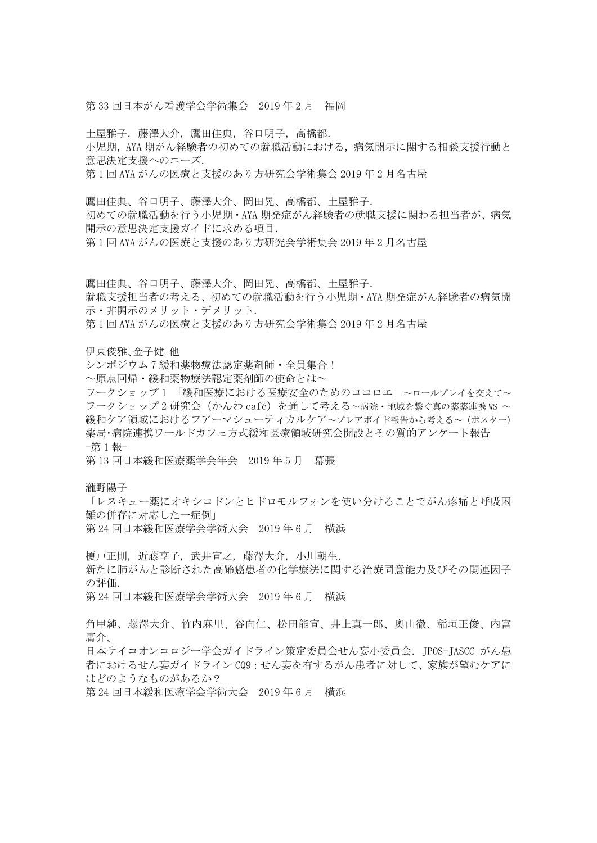第 33 回日本がん看護学会学術集会 2019 年 2 月 福岡

土屋雅子,藤澤大介,鷹田佳典,谷口明子,高橋都. 小児期, AYA 期がん経験者の初めての就職活動における,病気開示に関する相談支援行動と 意思決定支援へのニーズ.

第 1 回 AYA がんの医療と支援のあり方研究会学術集会 2019 年 2 月名古屋

鷹田佳典、谷口明子、藤澤大介、岡田晃、高橋都、土屋雅子. 初めての就職活動を行う小児期・AYA 期発症がん経験者の就職支援に関わる担当者が、病気 開示の意思決定支援ガイドに求める項目.

第 1 回 AYA がんの医療と支援のあり方研究会学術集会 2019 年 2 月名古屋

鷹田佳典、谷口明子、藤澤大介、岡田晃、高橋都、土屋雅子. 就職支援担当者の考える、初めての就職活動を行う小児期・AYA 期発症がん経験者の病気開 示・非開示のメリット・デメリット. 第 1 回 AYA がんの医療と支援のあり方研究会学術集会 2019 年 2 月名古屋

伊東俊雅、金子健 他

シンポジウム7緩和薬物療法認定薬剤師·全員集合!

~原点回帰・緩和薬物療法認定薬剤師の使命とは~

ワークショップ 1 「緩和医療における医療安全のためのココロエ」~ロールプレイを交えて~ ワークショップ 2 研究会 (かんわ café) を通して考える~病院·地域を繋ぐ真の薬薬連携 WS ~ 緩和ケア領域におけるフアーマシューティカルケア~プレアボイド報告から考える~(ポスター) 薬局・病院連携ワールドカフェ方式緩和医療領域研究会開設とその質的アンケート報告 -第 1 報-

第 13 回日本緩和医療薬学会年会 2019 年 5 月 幕張

瀧野陽子

「レスキュー薬にオキシコドンとヒドロモルフォンを使い分けることでがん疼痛と呼吸困 難の併存に対応した一症例」 第 24 回日本緩和医療学会学術大会 2019 年 6 月 横浜

榎戸正則, 近藤享子, 武井宣之, 藤澤大介, 小川朝生. 新たに肺がんと診断された高齢癌患者の化学療法に関する治療同意能力及びその関連因子 の評価.

第 24 回日本緩和医療学会学術大会 2019 年 6 月 横浜

角甲純、藤澤大介、竹内麻里、谷向仁、松田能宣、井上真一郎、奧山徹、稲垣正俊、内富 庸介、

日本サイコオンコロジー学会ガイドライン策定委員会せん妄小委員会. JPOS-JASCC がん患 者におけるせん妄ガイドライン CQ9:せん妄を有するがん患者に対して、家族が望むケアに はどのようなものがあるか?

第 24 回日本緩和医療学会学術大会 2019 年 6 月 横浜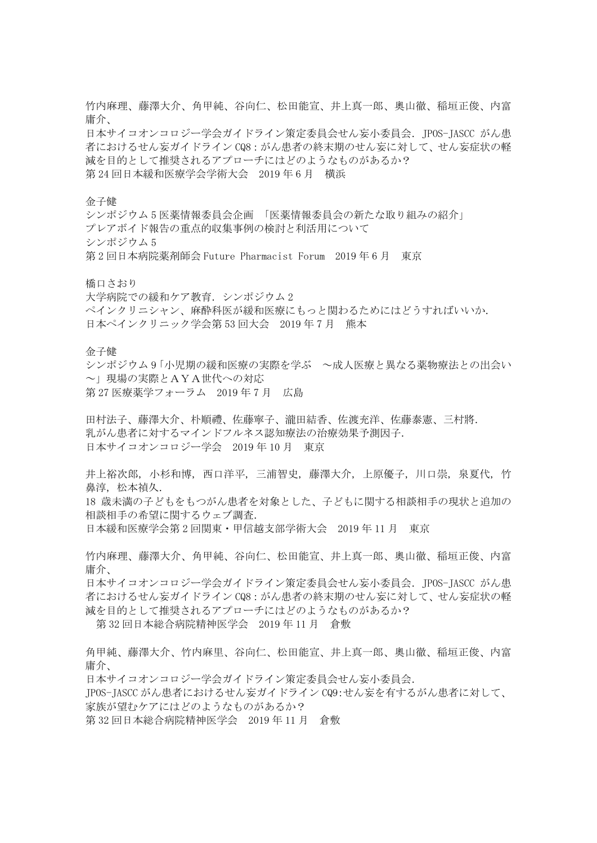竹内麻理、藤澤大介、角甲純、谷向仁、松田能宣、井上真一郎、奧山徹、稲垣正俊、内富 庸介、

日本サイコオンコロジー学会ガイドライン策定委員会せん妄小委員会. JPOS-JASCC がん患 者におけるせん妄ガイドライン CQ8:がん患者の終末期のせん妄に対して、せん妄症状の軽 減を目的として推奨されるアプローチにはどのようなものがあるか? 第 24 回日本緩和医療学会学術大会 2019 年 6 月 横浜

金子健

シンポジウム 5 医薬情報委員会企画 「医薬情報委員会の新たな取り組みの紹介」 プレアボイド報告の重点的収集事例の検討と利活用について シンポジウム 5 第 2 回日本病院薬剤師会 Future Pharmacist Forum 2019 年 6 月 東京

橋口さおり

大学病院での緩和ケア教育.シンポジウム 2

ペインクリニシャン、麻酔科医が緩和医療にもっと関わるためにはどうすればいいか. 日本ペインクリニック学会第 53 回大会 2019 年 7 月 熊本

金子健

シンポジウム 9「小児期の緩和医療の実際を学ぶ ~成人医療と異なる薬物療法との出会い ~」現場の実際とAYA世代への対応 第 27 医療薬学フォーラム 2019 年 7 月 広島

田村法子、藤澤大介、朴順禮、佐藤寧子、瀧田結香、佐渡充洋、佐藤泰憲、三村將. 乳がん患者に対するマインドフルネス認知療法の治療効果予測因子. 日本サイコオンコロジー学会 2019 年 10 月 東京

井上裕次郎, 小杉和博, 西口洋平, 三浦智史, 藤澤大介, 上原優子, 川口崇, 泉夏代, 竹 鼻淳, 松本禎久.

18 歳未満の子どもをもつがん患者を対象とした、子どもに関する相談相手の現状と追加の 相談相手の希望に関するウェブ調査.

日本緩和医療学会第 2 回関東・甲信越支部学術大会 2019 年 11 月 東京

竹内麻理、藤澤大介、角甲純、谷向仁、松田能宣、井上真一郎、奧山徹、稲垣正俊、内富 庸介、

日本サイコオンコロジー学会ガイドライン策定委員会せん妄小委員会. JPOS-JASCC がん患 者におけるせん妄ガイドライン CQ8: がん患者の終末期のせん妄に対して、せん妄症状の軽 減を目的として推奨されるアプローチにはどのようなものがあるか?

第 32 回日本総合病院精神医学会 2019 年 11 月 倉敷

角甲純、藤澤大介、竹内麻里、谷向仁、松田能宣、井上真一郎、奧山徹、稲垣正俊、内富 庸介、

日本サイコオンコロジー学会ガイドライン策定委員会せん妄小委員会.

JPOS-JASCC がん患者におけるせん妄ガイドライン CQ9:せん妄を有するがん患者に対して、 家族が望むケアにはどのようなものがあるか?

第 32 回日本総合病院精神医学会 2019 年 11 月 倉敷